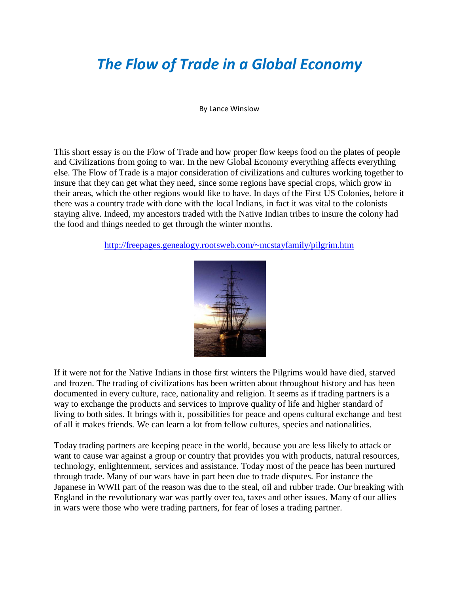## *The Flow of Trade in a Global Economy*

By Lance Winslow

This short essay is on the Flow of Trade and how proper flow keeps food on the plates of people and Civilizations from going to war. In the new Global Economy everything affects everything else. The Flow of Trade is a major consideration of civilizations and cultures working together to insure that they can get what they need, since some regions have special crops, which grow in their areas, which the other regions would like to have. In days of the First US Colonies, before it there was a country trade with done with the local Indians, in fact it was vital to the colonists staying alive. Indeed, my ancestors traded with the Native Indian tribes to insure the colony had the food and things needed to get through the winter months.

<http://freepages.genealogy.rootsweb.com/~mcstayfamily/pilgrim.htm>



If it were not for the Native Indians in those first winters the Pilgrims would have died, starved and frozen. The trading of civilizations has been written about throughout history and has been documented in every culture, race, nationality and religion. It seems as if trading partners is a way to exchange the products and services to improve quality of life and higher standard of living to both sides. It brings with it, possibilities for peace and opens cultural exchange and best of all it makes friends. We can learn a lot from fellow cultures, species and nationalities.

Today trading partners are keeping peace in the world, because you are less likely to attack or want to cause war against a group or country that provides you with products, natural resources, technology, enlightenment, services and assistance. Today most of the peace has been nurtured through trade. Many of our wars have in part been due to trade disputes. For instance the Japanese in WWII part of the reason was due to the steal, oil and rubber trade. Our breaking with England in the revolutionary war was partly over tea, taxes and other issues. Many of our allies in wars were those who were trading partners, for fear of loses a trading partner.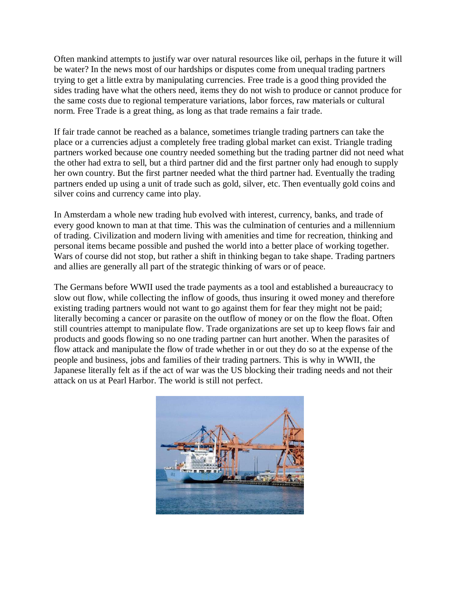Often mankind attempts to justify war over natural resources like oil, perhaps in the future it will be water? In the news most of our hardships or disputes come from unequal trading partners trying to get a little extra by manipulating currencies. Free trade is a good thing provided the sides trading have what the others need, items they do not wish to produce or cannot produce for the same costs due to regional temperature variations, labor forces, raw materials or cultural norm. Free Trade is a great thing, as long as that trade remains a fair trade.

If fair trade cannot be reached as a balance, sometimes triangle trading partners can take the place or a currencies adjust a completely free trading global market can exist. Triangle trading partners worked because one country needed something but the trading partner did not need what the other had extra to sell, but a third partner did and the first partner only had enough to supply her own country. But the first partner needed what the third partner had. Eventually the trading partners ended up using a unit of trade such as gold, silver, etc. Then eventually gold coins and silver coins and currency came into play.

In Amsterdam a whole new trading hub evolved with interest, currency, banks, and trade of every good known to man at that time. This was the culmination of centuries and a millennium of trading. Civilization and modern living with amenities and time for recreation, thinking and personal items became possible and pushed the world into a better place of working together. Wars of course did not stop, but rather a shift in thinking began to take shape. Trading partners and allies are generally all part of the strategic thinking of wars or of peace.

The Germans before WWII used the trade payments as a tool and established a bureaucracy to slow out flow, while collecting the inflow of goods, thus insuring it owed money and therefore existing trading partners would not want to go against them for fear they might not be paid; literally becoming a cancer or parasite on the outflow of money or on the flow the float. Often still countries attempt to manipulate flow. Trade organizations are set up to keep flows fair and products and goods flowing so no one trading partner can hurt another. When the parasites of flow attack and manipulate the flow of trade whether in or out they do so at the expense of the people and business, jobs and families of their trading partners. This is why in WWII, the Japanese literally felt as if the act of war was the US blocking their trading needs and not their attack on us at Pearl Harbor. The world is still not perfect.

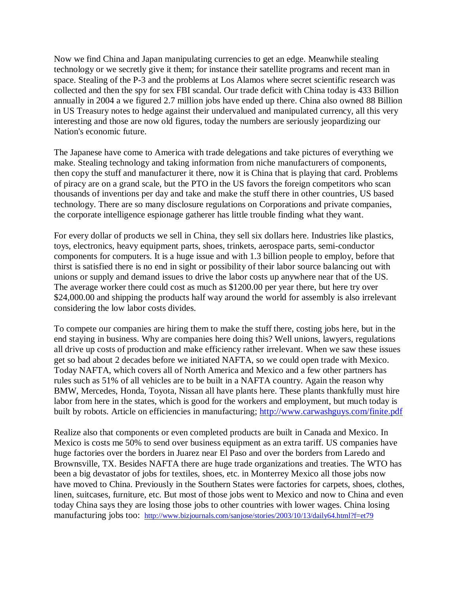Now we find China and Japan manipulating currencies to get an edge. Meanwhile stealing technology or we secretly give it them; for instance their satellite programs and recent man in space. Stealing of the P-3 and the problems at Los Alamos where secret scientific research was collected and then the spy for sex FBI scandal. Our trade deficit with China today is 433 Billion annually in 2004 a we figured 2.7 million jobs have ended up there. China also owned 88 Billion in US Treasury notes to hedge against their undervalued and manipulated currency, all this very interesting and those are now old figures, today the numbers are seriously jeopardizing our Nation's economic future.

The Japanese have come to America with trade delegations and take pictures of everything we make. Stealing technology and taking information from niche manufacturers of components, then copy the stuff and manufacturer it there, now it is China that is playing that card. Problems of piracy are on a grand scale, but the PTO in the US favors the foreign competitors who scan thousands of inventions per day and take and make the stuff there in other countries, US based technology. There are so many disclosure regulations on Corporations and private companies, the corporate intelligence espionage gatherer has little trouble finding what they want.

For every dollar of products we sell in China, they sell six dollars here. Industries like plastics, toys, electronics, heavy equipment parts, shoes, trinkets, aerospace parts, semi-conductor components for computers. It is a huge issue and with 1.3 billion people to employ, before that thirst is satisfied there is no end in sight or possibility of their labor source balancing out with unions or supply and demand issues to drive the labor costs up anywhere near that of the US. The average worker there could cost as much as \$1200.00 per year there, but here try over \$24,000.00 and shipping the products half way around the world for assembly is also irrelevant considering the low labor costs divides.

To compete our companies are hiring them to make the stuff there, costing jobs here, but in the end staying in business. Why are companies here doing this? Well unions, lawyers, regulations all drive up costs of production and make efficiency rather irrelevant. When we saw these issues get so bad about 2 decades before we initiated NAFTA, so we could open trade with Mexico. Today NAFTA, which covers all of North America and Mexico and a few other partners has rules such as 51% of all vehicles are to be built in a NAFTA country. Again the reason why BMW, Mercedes, Honda, Toyota, Nissan all have plants here. These plants thankfully must hire labor from here in the states, which is good for the workers and employment, but much today is built by robots. Article on efficiencies in manufacturing; <http://www.carwashguys.com/finite.pdf>

Realize also that components or even completed products are built in Canada and Mexico. In Mexico is costs me 50% to send over business equipment as an extra tariff. US companies have huge factories over the borders in Juarez near El Paso and over the borders from Laredo and Brownsville, TX. Besides NAFTA there are huge trade organizations and treaties. The WTO has been a big devastator of jobs for textiles, shoes, etc. in Monterrey Mexico all those jobs now have moved to China. Previously in the Southern States were factories for carpets, shoes, clothes, linen, suitcases, furniture, etc. But most of those jobs went to Mexico and now to China and even today China says they are losing those jobs to other countries with lower wages. China losing manufacturing jobs too: <http://www.bizjournals.com/sanjose/stories/2003/10/13/daily64.html?f=et79>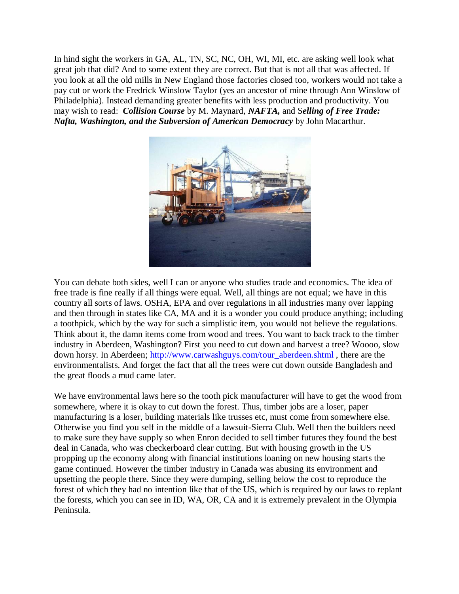In hind sight the workers in GA, AL, TN, SC, NC, OH, WI, MI, etc. are asking well look what great job that did? And to some extent they are correct. But that is not all that was affected. If you look at all the old mills in New England those factories closed too, workers would not take a pay cut or work the Fredrick Winslow Taylor (yes an ancestor of mine through Ann Winslow of Philadelphia). Instead demanding greater benefits with less production and productivity. You may wish to read: *Collision Course* by M. Maynard, *NAFTA,* and S*elling of Free Trade: Nafta, Washington, and the Subversion of American Democracy* by John Macarthur.



You can debate both sides, well I can or anyone who studies trade and economics. The idea of free trade is fine really if all things were equal. Well, all things are not equal; we have in this country all sorts of laws. OSHA, EPA and over regulations in all industries many over lapping and then through in states like CA, MA and it is a wonder you could produce anything; including a toothpick, which by the way for such a simplistic item, you would not believe the regulations. Think about it, the damn items come from wood and trees. You want to back track to the timber industry in Aberdeen, Washington? First you need to cut down and harvest a tree? Woooo, slow down horsy. In Aberdeen; [http://www.carwashguys.com/tour\\_aberdeen.shtml](http://www.carwashguys.com/tour_aberdeen.shtml), there are the environmentalists. And forget the fact that all the trees were cut down outside Bangladesh and the great floods a mud came later.

We have environmental laws here so the tooth pick manufacturer will have to get the wood from somewhere, where it is okay to cut down the forest. Thus, timber jobs are a loser, paper manufacturing is a loser, building materials like trusses etc, must come from somewhere else. Otherwise you find you self in the middle of a lawsuit-Sierra Club. Well then the builders need to make sure they have supply so when Enron decided to sell timber futures they found the best deal in Canada, who was checkerboard clear cutting. But with housing growth in the US propping up the economy along with financial institutions loaning on new housing starts the game continued. However the timber industry in Canada was abusing its environment and upsetting the people there. Since they were dumping, selling below the cost to reproduce the forest of which they had no intention like that of the US, which is required by our laws to replant the forests, which you can see in ID, WA, OR, CA and it is extremely prevalent in the Olympia Peninsula.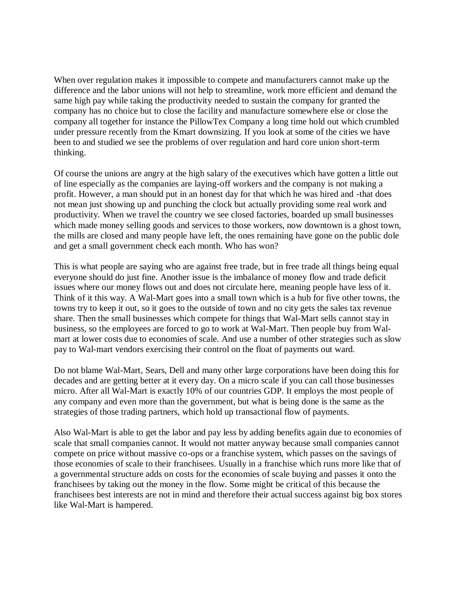When over regulation makes it impossible to compete and manufacturers cannot make up the difference and the labor unions will not help to streamline, work more efficient and demand the same high pay while taking the productivity needed to sustain the company for granted the company has no choice but to close the facility and manufacture somewhere else or close the company all together for instance the PillowTex Company a long time hold out which crumbled under pressure recently from the Kmart downsizing. If you look at some of the cities we have been to and studied we see the problems of over regulation and hard core union short-term thinking.

Of course the unions are angry at the high salary of the executives which have gotten a little out of line especially as the companies are laying-off workers and the company is not making a profit. However, a man should put in an honest day for that which he was hired and -that does not mean just showing up and punching the clock but actually providing some real work and productivity. When we travel the country we see closed factories, boarded up small businesses which made money selling goods and services to those workers, now downtown is a ghost town, the mills are closed and many people have left, the ones remaining have gone on the public dole and get a small government check each month. Who has won?

This is what people are saying who are against free trade, but in free trade all things being equal everyone should do just fine. Another issue is the imbalance of money flow and trade deficit issues where our money flows out and does not circulate here, meaning people have less of it. Think of it this way. A Wal-Mart goes into a small town which is a hub for five other towns, the towns try to keep it out, so it goes to the outside of town and no city gets the sales tax revenue share. Then the small businesses which compete for things that Wal-Mart sells cannot stay in business, so the employees are forced to go to work at Wal-Mart. Then people buy from Walmart at lower costs due to economies of scale. And use a number of other strategies such as slow pay to Wal-mart vendors exercising their control on the float of payments out ward.

Do not blame Wal-Mart, Sears, Dell and many other large corporations have been doing this for decades and are getting better at it every day. On a micro scale if you can call those businesses micro. After all Wal-Mart is exactly 10% of our countries GDP. It employs the most people of any company and even more than the government, but what is being done is the same as the strategies of those trading partners, which hold up transactional flow of payments.

Also Wal-Mart is able to get the labor and pay less by adding benefits again due to economies of scale that small companies cannot. It would not matter anyway because small companies cannot compete on price without massive co-ops or a franchise system, which passes on the savings of those economies of scale to their franchisees. Usually in a franchise which runs more like that of a governmental structure adds on costs for the economies of scale buying and passes it onto the franchisees by taking out the money in the flow. Some might be critical of this because the franchisees best interests are not in mind and therefore their actual success against big box stores like Wal-Mart is hampered.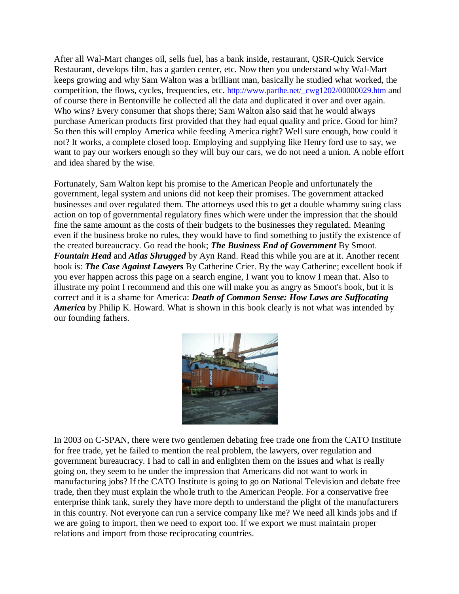After all Wal-Mart changes oil, sells fuel, has a bank inside, restaurant, QSR-Quick Service Restaurant, develops film, has a garden center, etc. Now then you understand why Wal-Mart keeps growing and why Sam Walton was a brilliant man, basically he studied what worked, the competition, the flows, cycles, frequencies, etc. [http://www.parthe.net/\\_cwg1202/00000029.htm](http://www.parthe.net/_cwg1202/00000029.htm) and of course there in Bentonville he collected all the data and duplicated it over and over again. Who wins? Every consumer that shops there; Sam Walton also said that he would always purchase American products first provided that they had equal quality and price. Good for him? So then this will employ America while feeding America right? Well sure enough, how could it not? It works, a complete closed loop. Employing and supplying like Henry ford use to say, we want to pay our workers enough so they will buy our cars, we do not need a union. A noble effort and idea shared by the wise.

Fortunately, Sam Walton kept his promise to the American People and unfortunately the government, legal system and unions did not keep their promises. The government attacked businesses and over regulated them. The attorneys used this to get a double whammy suing class action on top of governmental regulatory fines which were under the impression that the should fine the same amount as the costs of their budgets to the businesses they regulated. Meaning even if the business broke no rules, they would have to find something to justify the existence of the created bureaucracy. Go read the book; *The Business End of Government* By Smoot. *Fountain Head* and *Atlas Shrugged* by Ayn Rand. Read this while you are at it. Another recent book is: *The Case Against Lawyers* By Catherine Crier. By the way Catherine; excellent book if you ever happen across this page on a search engine, I want you to know I mean that. Also to illustrate my point I recommend and this one will make you as angry as Smoot's book, but it is correct and it is a shame for America: *Death of Common Sense: How Laws are Suffocating America* by Philip K. Howard. What is shown in this book clearly is not what was intended by our founding fathers.



In 2003 on C-SPAN, there were two gentlemen debating free trade one from the CATO Institute for free trade, yet he failed to mention the real problem, the lawyers, over regulation and government bureaucracy. I had to call in and enlighten them on the issues and what is really going on, they seem to be under the impression that Americans did not want to work in manufacturing jobs? If the CATO Institute is going to go on National Television and debate free trade, then they must explain the whole truth to the American People. For a conservative free enterprise think tank, surely they have more depth to understand the plight of the manufacturers in this country. Not everyone can run a service company like me? We need all kinds jobs and if we are going to import, then we need to export too. If we export we must maintain proper relations and import from those reciprocating countries.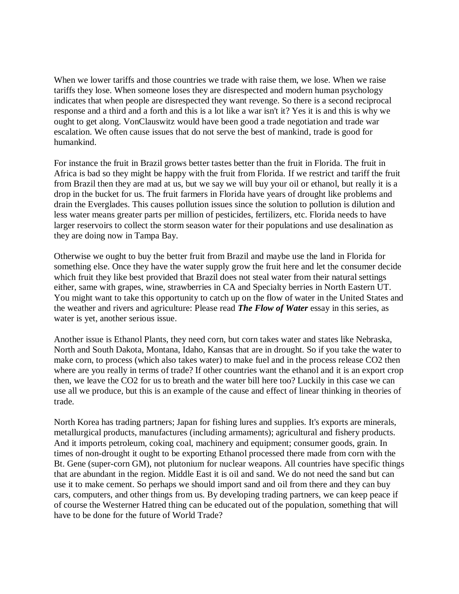When we lower tariffs and those countries we trade with raise them, we lose. When we raise tariffs they lose. When someone loses they are disrespected and modern human psychology indicates that when people are disrespected they want revenge. So there is a second reciprocal response and a third and a forth and this is a lot like a war isn't it? Yes it is and this is why we ought to get along. VonClauswitz would have been good a trade negotiation and trade war escalation. We often cause issues that do not serve the best of mankind, trade is good for humankind.

For instance the fruit in Brazil grows better tastes better than the fruit in Florida. The fruit in Africa is bad so they might be happy with the fruit from Florida. If we restrict and tariff the fruit from Brazil then they are mad at us, but we say we will buy your oil or ethanol, but really it is a drop in the bucket for us. The fruit farmers in Florida have years of drought like problems and drain the Everglades. This causes pollution issues since the solution to pollution is dilution and less water means greater parts per million of pesticides, fertilizers, etc. Florida needs to have larger reservoirs to collect the storm season water for their populations and use desalination as they are doing now in Tampa Bay.

Otherwise we ought to buy the better fruit from Brazil and maybe use the land in Florida for something else. Once they have the water supply grow the fruit here and let the consumer decide which fruit they like best provided that Brazil does not steal water from their natural settings either, same with grapes, wine, strawberries in CA and Specialty berries in North Eastern UT. You might want to take this opportunity to catch up on the flow of water in the United States and the weather and rivers and agriculture: Please read *The Flow of Water* essay in this series, as water is yet, another serious issue.

Another issue is Ethanol Plants, they need corn, but corn takes water and states like Nebraska, North and South Dakota, Montana, Idaho, Kansas that are in drought. So if you take the water to make corn, to process (which also takes water) to make fuel and in the process release CO2 then where are you really in terms of trade? If other countries want the ethanol and it is an export crop then, we leave the CO2 for us to breath and the water bill here too? Luckily in this case we can use all we produce, but this is an example of the cause and effect of linear thinking in theories of trade.

North Korea has trading partners; Japan for fishing lures and supplies. It's exports are minerals, metallurgical products, manufactures (including armaments); agricultural and fishery products. And it imports petroleum, coking coal, machinery and equipment; consumer goods, grain. In times of non-drought it ought to be exporting Ethanol processed there made from corn with the Bt. Gene (super-corn GM), not plutonium for nuclear weapons. All countries have specific things that are abundant in the region. Middle East it is oil and sand. We do not need the sand but can use it to make cement. So perhaps we should import sand and oil from there and they can buy cars, computers, and other things from us. By developing trading partners, we can keep peace if of course the Westerner Hatred thing can be educated out of the population, something that will have to be done for the future of World Trade?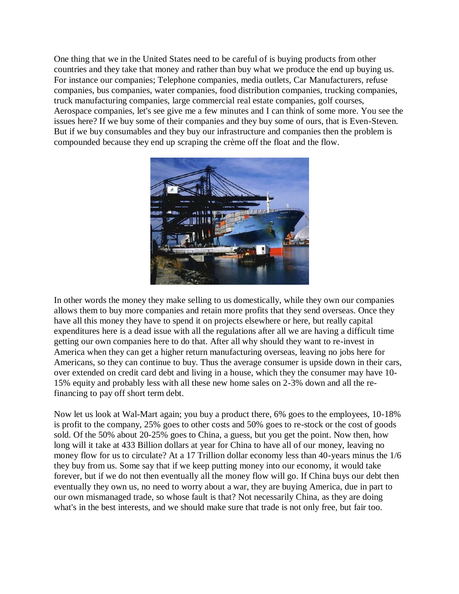One thing that we in the United States need to be careful of is buying products from other countries and they take that money and rather than buy what we produce the end up buying us. For instance our companies; Telephone companies, media outlets, Car Manufacturers, refuse companies, bus companies, water companies, food distribution companies, trucking companies, truck manufacturing companies, large commercial real estate companies, golf courses, Aerospace companies, let's see give me a few minutes and I can think of some more. You see the issues here? If we buy some of their companies and they buy some of ours, that is Even-Steven. But if we buy consumables and they buy our infrastructure and companies then the problem is compounded because they end up scraping the crème off the float and the flow.



In other words the money they make selling to us domestically, while they own our companies allows them to buy more companies and retain more profits that they send overseas. Once they have all this money they have to spend it on projects elsewhere or here, but really capital expenditures here is a dead issue with all the regulations after all we are having a difficult time getting our own companies here to do that. After all why should they want to re-invest in America when they can get a higher return manufacturing overseas, leaving no jobs here for Americans, so they can continue to buy. Thus the average consumer is upside down in their cars, over extended on credit card debt and living in a house, which they the consumer may have 10- 15% equity and probably less with all these new home sales on 2-3% down and all the refinancing to pay off short term debt.

Now let us look at Wal-Mart again; you buy a product there, 6% goes to the employees, 10-18% is profit to the company, 25% goes to other costs and 50% goes to re-stock or the cost of goods sold. Of the 50% about 20-25% goes to China, a guess, but you get the point. Now then, how long will it take at 433 Billion dollars at year for China to have all of our money, leaving no money flow for us to circulate? At a 17 Trillion dollar economy less than 40-years minus the 1/6 they buy from us. Some say that if we keep putting money into our economy, it would take forever, but if we do not then eventually all the money flow will go. If China buys our debt then eventually they own us, no need to worry about a war, they are buying America, due in part to our own mismanaged trade, so whose fault is that? Not necessarily China, as they are doing what's in the best interests, and we should make sure that trade is not only free, but fair too.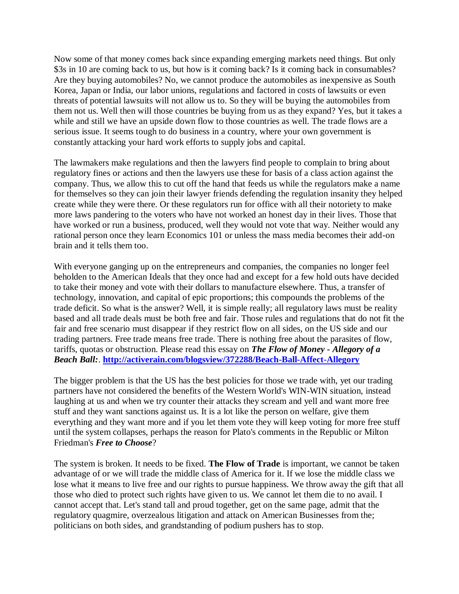Now some of that money comes back since expanding emerging markets need things. But only \$3s in 10 are coming back to us, but how is it coming back? Is it coming back in consumables? Are they buying automobiles? No, we cannot produce the automobiles as inexpensive as South Korea, Japan or India, our labor unions, regulations and factored in costs of lawsuits or even threats of potential lawsuits will not allow us to. So they will be buying the automobiles from them not us. Well then will those countries be buying from us as they expand? Yes, but it takes a while and still we have an upside down flow to those countries as well. The trade flows are a serious issue. It seems tough to do business in a country, where your own government is constantly attacking your hard work efforts to supply jobs and capital.

The lawmakers make regulations and then the lawyers find people to complain to bring about regulatory fines or actions and then the lawyers use these for basis of a class action against the company. Thus, we allow this to cut off the hand that feeds us while the regulators make a name for themselves so they can join their lawyer friends defending the regulation insanity they helped create while they were there. Or these regulators run for office with all their notoriety to make more laws pandering to the voters who have not worked an honest day in their lives. Those that have worked or run a business, produced, well they would not vote that way. Neither would any rational person once they learn Economics 101 or unless the mass media becomes their add-on brain and it tells them too.

With everyone ganging up on the entrepreneurs and companies, the companies no longer feel beholden to the American Ideals that they once had and except for a few hold outs have decided to take their money and vote with their dollars to manufacture elsewhere. Thus, a transfer of technology, innovation, and capital of epic proportions; this compounds the problems of the trade deficit. So what is the answer? Well, it is simple really; all regulatory laws must be reality based and all trade deals must be both free and fair. Those rules and regulations that do not fit the fair and free scenario must disappear if they restrict flow on all sides, on the US side and our trading partners. Free trade means free trade. There is nothing free about the parasites of flow, tariffs, quotas or obstruction. Please read this essay on *The Flow of Money - Allegory of a Beach Ball:*. **<http://activerain.com/blogsview/372288/Beach-Ball-Affect-Allegory>**

The bigger problem is that the US has the best policies for those we trade with, yet our trading partners have not considered the benefits of the Western World's WIN-WIN situation, instead laughing at us and when we try counter their attacks they scream and yell and want more free stuff and they want sanctions against us. It is a lot like the person on welfare, give them everything and they want more and if you let them vote they will keep voting for more free stuff until the system collapses, perhaps the reason for Plato's comments in the Republic or Milton Friedman's *Free to Choose*?

The system is broken. It needs to be fixed. **The Flow of Trade** is important, we cannot be taken advantage of or we will trade the middle class of America for it. If we lose the middle class we lose what it means to live free and our rights to pursue happiness. We throw away the gift that all those who died to protect such rights have given to us. We cannot let them die to no avail. I cannot accept that. Let's stand tall and proud together, get on the same page, admit that the regulatory quagmire, overzealous litigation and attack on American Businesses from the; politicians on both sides, and grandstanding of podium pushers has to stop.